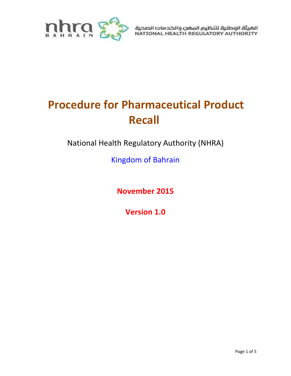

الهيئة الوطنية لتنظيم المضن والخدمات الصحية<br>NATIONAL HEALTH REGULATORY AUTHORITY

# **Procedure for Pharmaceutical Product Recall**

National Health Regulatory Authority (NHRA)

Kingdom of Bahrain

**November 2015**

**Version 1.0**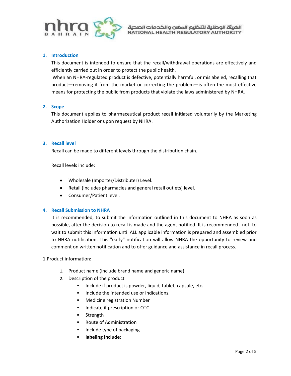

#### **1. Introduction**

This document is intended to ensure that the recall/withdrawal operations are effectively and efficiently carried out in order to protect the public health.

When an NHRA-regulated product is defective, potentially harmful, or mislabeled, recalling that product—removing it from the market or correcting the problem—is often the most effective means for protecting the public from products that violate the laws administered by NHRA.

#### **2. Scope**

This document applies to pharmaceutical product recall initiated voluntarily by the Marketing Authorization Holder or upon request by NHRA.

#### **3. Recall level**

Recall can be made to different levels through the distribution chain.

Recall levels include:

- Wholesale (Importer/Distributer) Level.
- Retail (includes pharmacies and general retail outlets) level.
- Consumer/Patient level.

# **4. Recall Submission to NHRA**

It is recommended, to submit the information outlined in this document to NHRA as soon as possible, after the decision to recall is made and the agent notified. It is recommended , not to wait to submit this information until ALL applicable information is prepared and assembled prior to NHRA notification. This "early" notification will allow NHRA the opportunity to review and comment on written notification and to offer guidance and assistance in recall process.

1.Product information:

- 1. Product name (include brand name and generic name)
- 2. Description of the product
	- Include if product is powder, liquid, tablet, capsule, etc.
	- Include the intended use or indications.
	- **•** Medicine registration Number
	- **Indicate if prescription or OTC**
	- **Strength**
	- Route of Administration
	- Include type of packaging
	- **labeling Include**: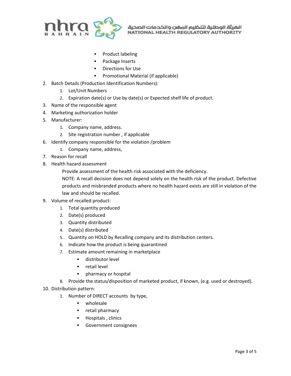

الضيئة الوطنية لتنظيم المغن والخدمات الصحية NATIONAL HEALTH REGULATORY AUTHORITY

- Product labeling
- Package Inserts
- **Directions for Use**
- **Promotional Material (if applicable)**
- 2. Batch Details (Production Identification Numbers):
	- 1. Lot/Unit Numbers
	- 2. Expiration date(s) or Use by date(s) or Expected shelf life of product.
- 3. Name of the responsible agent
- 4. Marketing authorization holder
- 5. Manufacturer:
	- 1. Company name, address.
	- 2. Site registration number , if applicable
- 6. Identify company responsible for the violation /problem
	- 1. Company name, address,
- 7. Reason for recall
- 8. Health hazard assessment
	- Provide assessment of the health risk associated with the deficiency.
	- NOTE: A recall decision does not depend solely on the health risk of the product. Defective products and misbranded products where no health hazard exists are still in violation of the law and should be recalled.
- 9. Volume of recalled product:
	- 1. Total quantity produced
	- 2. Date(s) produced
	- 3. Quantity distributed
	- 4. Date(s) distributed
	- 5. Quantity on HOLD by Recalling company and its distribution centers.
	- 6. Indicate how the product is being quarantined
	- 7. Estimate amount remaining in marketplace
		- **distributor level**
		- **retail level**
		- **•** pharmacy or hospital
	- 8. Provide the status/disposition of marketed product, if known, (e.g. used or destroyed).
- 10. Distribution pattern:
	- 1. Number of DIRECT accounts by type,
		- **•** wholesale
		- **•** retail pharmacy
		- Hospitals , clinics
		- **Government consignees**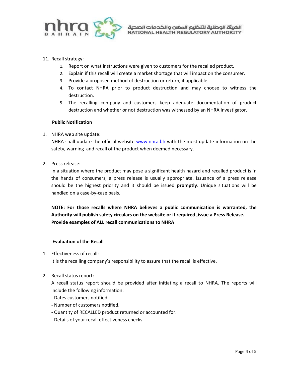

# 11. Recall strategy:

- 1. Report on what instructions were given to customers for the recalled product.
- 2. Explain if this recall will create a market shortage that will impact on the consumer.
- 3. Provide a proposed method of destruction or return, if applicable.
- 4. To contact NHRA prior to product destruction and may choose to witness the destruction.
- 5. The recalling company and customers keep adequate documentation of product destruction and whether or not destruction was witnessed by an NHRA investigator.

#### **Public Notification**

# 1. NHRA web site update:

NHRA shall update the official website [www.nhra.bh](http://www.nhra.bh/) with the most update information on the safety, warning and recall of the product when deemed necessary.

2. Press release:

In a situation where the product may pose a significant health hazard and recalled product is in the hands of consumers, a press release is usually appropriate. Issuance of a press release should be the highest priority and it should be issued **promptly**. Unique situations will be handled on a case-by-case basis.

**NOTE: For those recalls where NHRA believes a public communication is warranted, the Authority will publish safety circulars on the website or if required ,issue a Press Release. Provide examples of ALL recall communications to NHRA**

# **Evaluation of the Recall**

1. Effectiveness of recall:

It is the recalling company's responsibility to assure that the recall is effective.

2. Recall status report:

A recall status report should be provided after initiating a recall to NHRA. The reports will include the following information:

- Dates customers notified.
- Number of customers notified.
- Quantity of RECALLED product returned or accounted for.
- Details of your recall effectiveness checks.